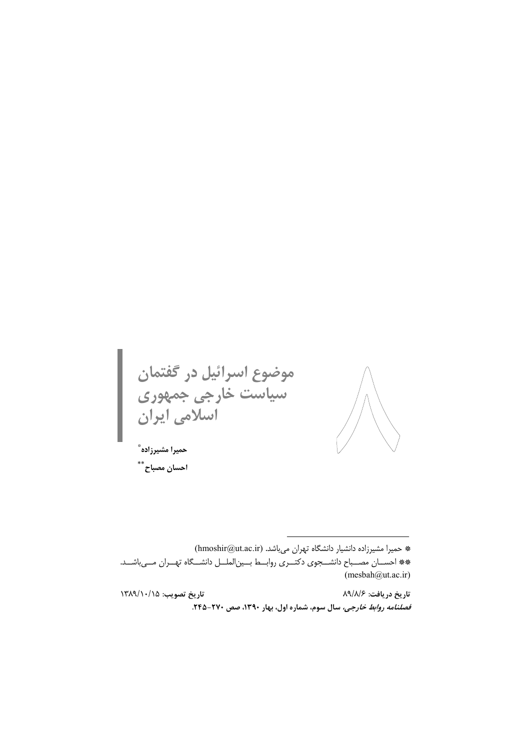موضوع اسرائیل در گفتمان<br>سیاست خارجی جمهوری<br>اسلامی ایران حميرا مشيرزاده ٌ

احسان مصباح\*\*

\* حمیرا مشیرزاده دانشیار دانشگاه تهران میباشد. (hmoshir@ut.ac.ir) \*\* احســان مصــباح دانشـــجوي دكتــري روابــط بــين|لملــل دانشـــگاه تهــران مـــىباشــد.  $(mesbah@ut.ac.in)$ 

تاريخ تصويب: ١٣٨٩/١٠/١٥ تاريخ دريافت: ۸۹/۸/۶ قصلنامه روابط خارجی، سال سوم، شماره اول، بهار ١٣٩٠، صص ٢٧٠-٢۴٥.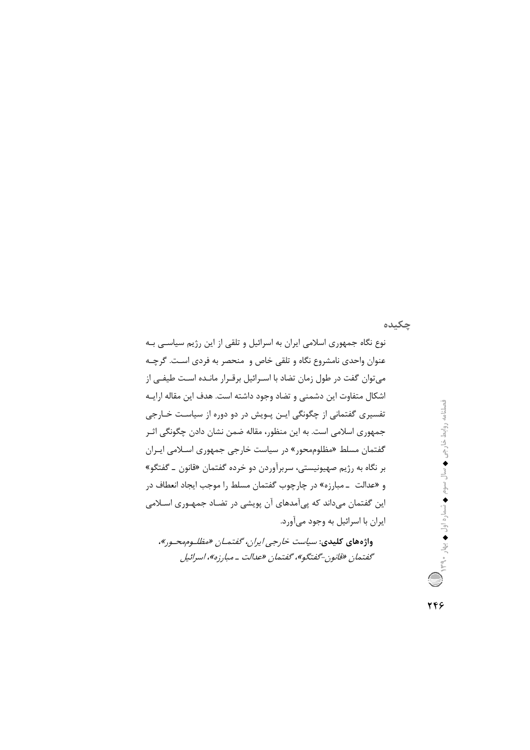چکیده

واژههای کلیدی: *سیاست خارجی ایران، گفتمـان «مظلـوممحـور»،* گفتمان «قانون-گفتگو»، گفتمان «عدالت ـ مبارزه»، اسرائیل

فصلنامه روابط خارجی ♦ سال سوم ♦ شماره اول ♦ بهار ٣٩.٠ ﴾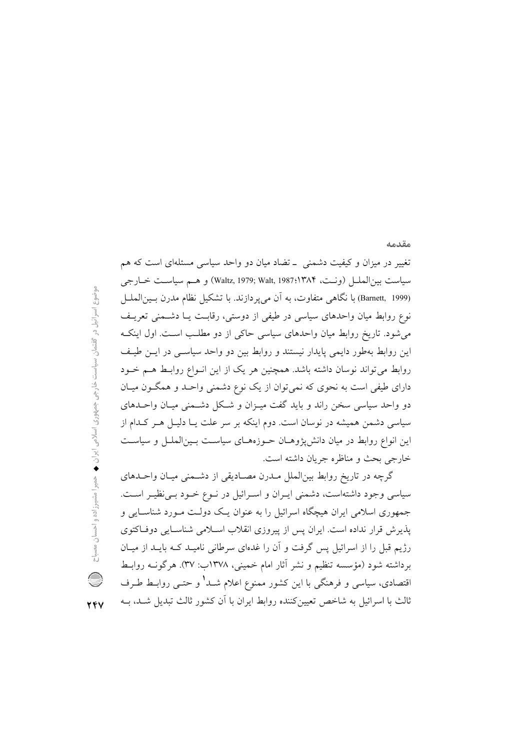## مقدمه

تغییر در میزان و کیفیت دشمنی \_ تضاد میان دو واحد سیاسی مسئلهای است که هم سياست بين|لملس (ونـت، Waltz, 1979; Walt, 1987:۱۳۸۴) و هــم سياسـت خــارجي (Barnett, 1999) با نگاهي متفاوت، به آن مي پر دازند. با تشكيل نظام مدرن بـين الملــل نوع روابط میان واحدهای سیاسی در طیفی از دوستی، رقابت یـا دشــمنی تعریـف می شود. تاریخ روابط میان واحدهای سیاسی حاکی از دو مطلب است. اول اینک این روابط بهطور دایمی پایدار نیستند و روابط بین دو واحد سیاسبی در ایـن طیـف روابط می تواند نوسان داشته باشد. همچنین هر یک از این انـواع روابـط هـم خـود دارای طیفی است به نحوی که نمی توان از یک نوع دشمنی واحـد و همگـون میـان دو واحد سیاسی سخن راند و باید گفت میـزان و شـکل دشـمنی میـان واحـدهای سیاسی دشمن همیشه در نوسان است. دوم اینکه بر سر علت یـا دلیــل هــر کــدام از این انواع روابط در میان دانشپژوهـان حــوزههـای سیاســت بــینالملــل و سیاســت خارجي بحث و مناظره جريان داشته است.

گرچه در تاریخ روابط بینالملل مـدرن مصـادیقی از دشـمنی میـان واحـدهای سیاسی وجود داشتهاست، دشمنی ایـران و اسـرائیل در نـوع خـود بـی نظیـر اسـت. جمهوری اسلامی ایران هیچگاه اسرائیل را به عنوان یـک دولـت مـورد شناسـایی و پذیرش قرار نداده است. ایران پس از پیروزی انقلاب اسلامی شناسایی دوفاکتوی رژیم قبل را از اسرائیل پس گرفت و آن را غدهای سرطانی نامیـد کـه بایـد از میـان برداشته شود (مؤسسه تنظیم و نشر آثار امام خمینی، ۱۳۷۸ب: ۳۷). هرگونــه روابــط اقتصادی، سیاسی و فرهنگی با این کشور ممنوع اعلام شــد<sup>۱</sup> و حتــی روابــط طــرف ثالث با اسرائيل به شاخص تعيين كننده روابط ايران با آن كشور ثالث تبديل شـد، بــه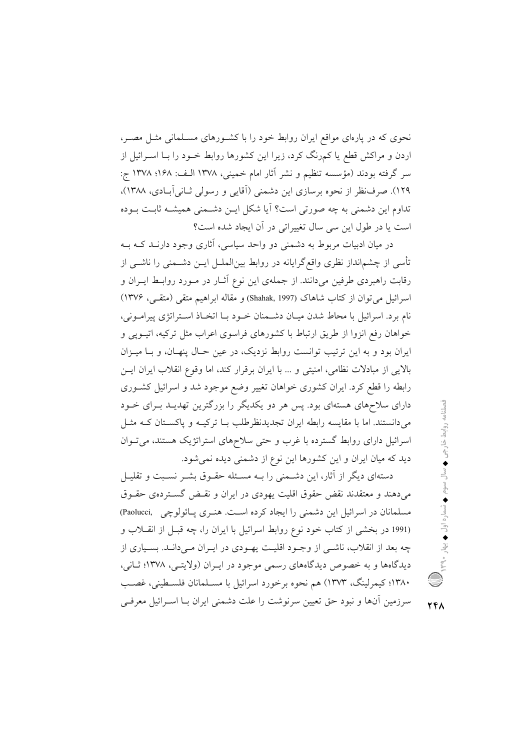نحوی که در پارهای مواقع ایران روابط خود را با کشورهای مسـلمانی مثـل مصـر، اردن و مراکش قطع یا کمرنگ کرد، زیرا این کشورها روابط خــود را بــا اســرائیل از سر گرفته بودند (مؤسسه تنظیم و نشر آثار امام خمینی، ۱۳۷۸ الـف: ۱۶۸؛ ۱۳۷۸ ج: ١٢٩). صرف نظر از نحوه برسازي اين دشمني (آقايي و رسولي ثـاني آبـادي، ١٣٨٨)، تداوم این دشمنی به چه صورتی است؟ آیا شکل ایــن دشــمنی همیشــه ثابـت بــوده است یا در طول این سی سال تغییراتی در آن ایجاد شده است؟

در میان ادبیات مربوط به دشمنی دو واحد سیاسی، آثاری وجود دارنـد کــه بــه تأسی از چشمانداز نظری واقع گرایانه در روابط بینالملــل ایــن دشــمنی را ناشــی از رقابت راهبردی طرفین میدانند. از جملهی این نوع آثــار در مــورد روابــط ایــران و اسرائيل مي توان از كتاب شاهاك (Shahak, 1997) و مقاله ابراهيم متقى (متقى، ١٣٧۶) نام برد. اسرائيل با محاط شدن ميـان دشـمنان خـود بـا اتخـاذ اسـتراتژى پيرامـونى، خواهان رفع انزوا از طریق ارتباط با کشورهای فراسوی اعراب مثل ترکیه، اتیـوپی و ایران بود و به این ترتیب توانست روابط نزدیک، در عین حـال پنهـان، و بـا میـزان بالایی از مبادلات نظامی، امنیتی و … با ایران برقرار کند، اما وقوع انقلاب ایران ایسن رابطه را قطع کرد. ایران کشوری خواهان تغییر وضع موجود شد و اسرائیل کشـوری دارای سلاحهای هستهای بود. پس هر دو یکدیگر را بزرگترین تهدیـد بـرای خـود می دانستند. اما با مقایسه رابطه ایران تجدیدنظرطلب بـا ترکیـه و پاکسـتان کـه مثـل اسرائیل دارای روابط گسترده با غرب و حتی سلاحهای استراتژیک هستند، میتوان دید که میان ایران و این کشورها این نوع از دشمنی دیده نمی شود.

دستهای دیگر از آثار، این دشـمنی را بــه مسـئله حقـوق بشــر نسـبت و تقلیــل می دهند و معتقدند نقض حقوق اقلیت یهودی در ایران و نقـض گسـتردهی حقـوق مسلمانان در اسرائیل این دشمنی را ایجاد کرده است. هنـری پـائولوچی (Paolucci (1991 در بخشی از کتاب خود نوع روابط اسرائیل با ایران را، چه قبـل از انقــلاب و چه بعد از انقلاب، ناشــي از وجــود اقليــت پهــودي در ايــران مــي،دانــد. بســياري از دیدگاهها و به خصوص دیدگاههای رسمی موجود در ایـران (ولایتـی، ۱۳۷۸؛ ثـانی، ۱۳۸۰؛ کیمرلینگ، ۱۳۷۳) هم نحوه برخورد اسرائیل با مسـلمانان فلسـطینی، غصـب سرزمین آنها و نبود حق تعیین سرنوشت را علت دشمنی ایران بــا اســرائیل معرفــی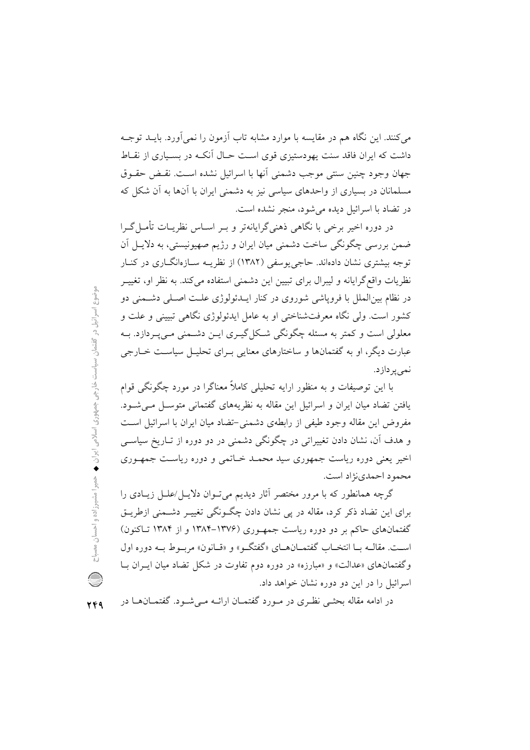می کنند. این نگاه هم در مقایسه با موارد مشابه تاب آزمون را نمی آورد. بایــد توجــه داشت که ایران فاقد سنت یهودستیزی قوی اسـت حـال آنکـه در بسـیاری از نقــاط جهان وجود چنین سنتی موجب دشمنی آنها با اسرائیل نشده است. نقـض حقـوق مسلمانان در بسیاری از واحدهای سیاسی نیز به دشمنی ایران با آنها به آن شکل که در تضاد با اسرائیل دیده می شود، منجر نشده است.

در دوره اخیر برخی با نگاهی ذهنیگرایانهتر و بـر اســاس نظریــات تأمــلگــرا ضمن بررسی چگونگی ساخت دشمنی میان ایران و رژیم صهیونیستی، به دلایـل آن توجه بیشتری نشان دادهاند. حاجی پوسفی (۱۳۸۲) از نظریـه سـازهانگــاری در کنــار نظریات واقع گرایانه و لیبرال برای تبیین این دشمنی استفاده می کند. به نظر او، تغییــر در نظام بین|لملل با فرویاشی شوروی در کنار ایــدئولوژی علــت اصــلی دشــمنی دو کشور است. ولي نگاه معرفتشناختي او به عامل ايدئولوژي نگاهي تبييني و علت و معلولي است و كمتر به مسئله چگونگي شكل گيــري ايــن دشــمني مــي.يــردازد. بــه عبارت دیگر، او به گفتمانها و ساختارهای معنایی بـرای تحلیـل سیاسـت خــارجی نمی پر دازد.

با این توصیفات و به منظور ارایه تحلیلی کاملاً معناگرا در مورد چگونگی قوام یافتن تضاد میان ایران و اسرائیل این مقاله به نظریههای گفتمانی متوسل مبی شـود. مفروض این مقاله وجود طیفی از رابطهی دشمنی-تضاد میان ایران با اسرائیل است و هدف آن، نشان دادن تغییراتی در چگونگی دشمنی در دو دوره از تـاریخ سیاســی اخیر یعنی دوره ریاست جمهوری سید محمـد خـاتمی و دوره ریاسـت جمهـوری محمود احمدی نژاد است.

گرچه همانطور که با مرور مختصر آثار دیدیم می تـوان دلایـل/علـل زیـادی را برای این تضاد ذکر کرد، مقاله در پی نشان دادن چگونگی تغییر دشیمنی ازطریق گفتمانهای حاکم بر دو دوره ریاست جمهوری (۱۳۷۶–۱۳۸۴ و از ۱۳۸۴ تـاکنون) است. مقالــه بــا انتخــاب گفتمــانهــاي «گفتگــو» و «قــانون» مربــوط بــه دوره اول وگفتمانهای «عدالت» و «مبارزه» در دوره دوم تفاوت در شکل تضاد میان ایـران بـا اسرائیل را در این دو دوره نشان خواهد داد.

در ادامه مقاله بحثـی نظـری در مـورد گفتمـان ارائــه مـی شــود. گفتمــانهــا در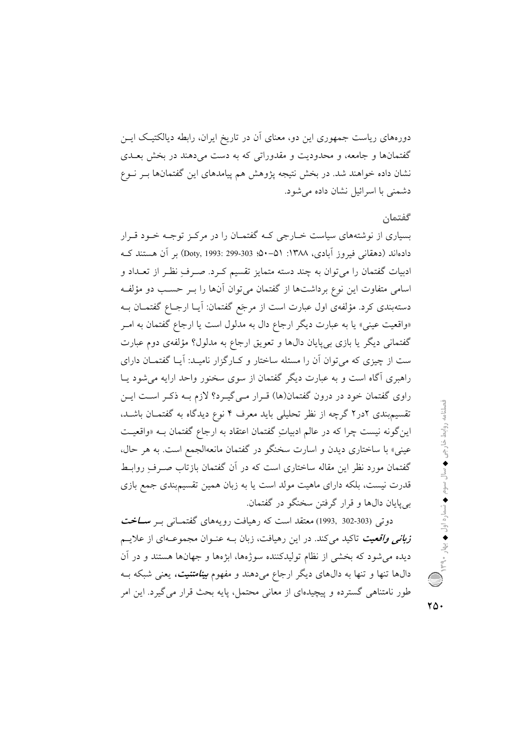دورههای ریاست جمهوری این دو، معنای آن در تاریخ ایران، رابطه دیالکتیک ایــن گفتمانها و جامعه، و محدودیت و مقدوراتی که به دست می دهند در بخش بعــدی نشان داده خواهند شد. در بخش نتیجه پژوهش هم پیامدهای این گفتمانها بـر نـوع دشمنی یا اسرائیل نشان داده می شود.

## گفتمان

بسیاری از نوشتههای سیاست خبارجی کـه گفتمـان را در مرکـز توجـه خـود قـرار دادهاند (دهقانی فیروز آبادی، ۱۳۸۸: ۵۱−۵۰؛ Doty, 1993: 299-303) بر آن هستند که ادبیات گفتمان را می توان به چند دسته متمایز تقسیم کـرد. صـرف نظـر از تعـداد و اسامی متفاوت این نوع برداشتها از گفتمان می توان آنها را بـر حسـب دو مؤلفـه دستهبندی کرد. مؤلفهی اول عبارت است از مرجَع گفتمان: آیــا ارجــاع گفتمــان بــه «واقعیت عینی» یا به عبارت دیگر ارجاع دال به مدلول است یا ارجاع گفتمان به امـر گفتمانی دیگر یا بازی بیپایان دالها و تعویق ارجاع به مدلول؟ مؤلفهی دوم عبارت ست از چیزی که می توان آن را مسئله ساختار و کـارگزار نامیـد: آیـا گفتمــان دارای راهبری آگاه است و به عبارت دیگر گفتمان از سوی سخنور واحد ارایه می شود یـا راوی گفتمان خود در درون گفتمان(ها) قـرار مـیگیـرد؟ لازم بـه ذکـر اسـت ایـن تقسیم بندی ۲در۲ گرچه از نظر تحلیلی باید معرف ۴ نوع دیدگاه به گفتمـان باشـد. این گونه نیست چرا که در عالم ادبیاتِ گفتمان اعتقاد به ارجاع گفتمان بـه «واقعیـت عینی» با ساختاری دیدن و اسارت سخنگو در گفتمان مانعهالجمع است. به هر حال، گفتمان مورد نظر این مقاله ساختاری است که در آن گفتمان بازتاب صـرف ِروابـط قدرت نیست، بلکه دارای ماهیت مولد است یا به زبان همین تقسیمبندی جمع بازی بي پايان دالها و قرار گرفتن سخنگو در گفتمان.

دوتی (303-302 ,1993) معتقد است که رهیافت رویههای گفتمـانی بـر سـ**ــاخت ز***بانی واقعیت* تاکید میکند. در این رهیافت، زبان بــه عنــوان مجموعــهای از علایــم دیده می شود که بخشی از نظام تولیدکننده سوژهها، ابژهها و جهانها هستند و در آن دالها تنها و تنها به دالهای دیگر ارجاع میدهند و مفهوم *بینامتنیت،* یعنی شبکه بـه طور نامتناهی گسترده و پیچیدهای از معانی محتمل، پایه بحث قرار می گیرد. این امر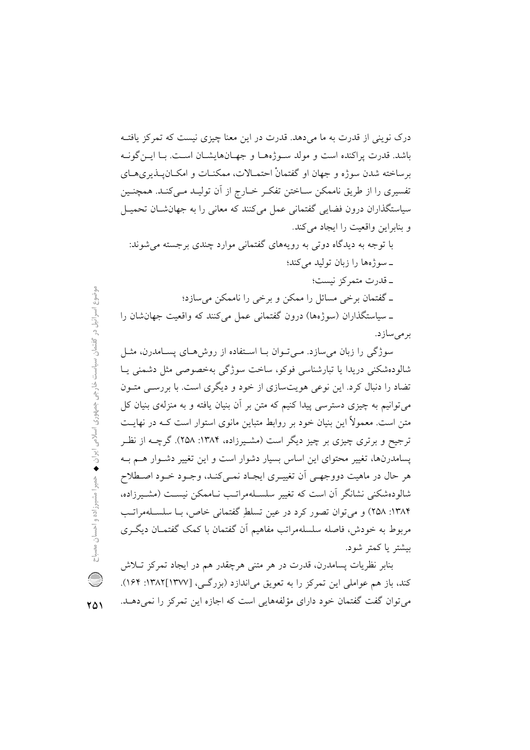درک نوینی از قدرت به ما می دهد. قدرت در این معنا چیزی نیست که تمرکز یافتـه باشد. قدرت پراکنده است و مولد سوژهها و جهـانهایشـان اسـت. بـا ایـن گونـه برساخته شدن سوژه و جهان او گفتمانْ احتمـالات، ممکنـات و امکـان يــذيرىهــاى تفسیری را از طریق ناممکن سـاختن تفکـر خــارج از آن تولیــد مــیکنــد. همچنــین سیاستگذاران درون فضایی گفتمانی عمل میکنند که معانی را به جهانشان تحمیـل و بنابراین واقعیت را ایجاد می کند.

با توجه به دیدگاه دوتی به رویههای گفتمانی موارد چندی برجسته می شوند: ـ سوژهها را زبان تولید می کند؛ ۔قدرت متمرکز نیست؛ ۔ گفتمان پرخی مسائل را ممکن و پرخی را ناممکن میںسازد؛ ـ سیاستگذاران (سوژهها) درون گفتمانی عمل میکنند که واقعیت جهان شان را بر مے سازد.

سوژگی را زبان می سازد. مے توان بـا اسـتفاده از روش هـای پسـامدرن، مثـل شالودەشكنى دريدا يا تبارشناسى فوكو، ساخت سوژگى بەخصوصى مثل دشمنى يـا تضاد را دنبال کرد. این نوعی هویتسازی از خود و دیگری است. با بررسـی متـون می توانیم به چیزی دسترسی پیدا کنیم که متن بر آن بنیان یافته و به منزلهی بنیان کل متن است. معمولاً این بنیان خود بر روابط متباین مانوی استوار است کـه در نهایــت ترجیح و برتری چیزی بر چیز دیگر است (مشـیرزاده، ۱۳۸۴: ۲۵۸). گرچــه از نظـر یسامدرنها، تغییر محتوای این اساس بسیار دشوار است و این تغییر دشـوار هـم بـه هر حال در ماهیت دووجهـی آن تغییـری ایجـاد نمـیکنـد، وجـود خـود اصـطلاح شالودهشکنی نشانگر آن است که تغییر سلسـلهمراتـب نـاممکن نیسـت (مشـیرزاده، ۱۳۸۴: ۲۵۸) و می توان تصور کرد در عین تسلط گفتمانی خاص، با سلسلهمراتب مربوط به خودش، فاصله سلسلهمراتب مفاهیم اَن گفتمان با کمک گفتمـان دیگـری بيشتر يا كمتر شود.

بنابر نظريات يسامدرن، قدرت در هر متنى هرچقدر هم در ايجاد تمركز تــلاش کند، باز هم عواملی این تمرکز را به تعویق میاندازد (بزرگی، [۱۳۷۷]۱۳۸۲: ۱۶۴). می توان گفت گفتمان خود دارای مؤلفههایی است که اجازه این تمرکز را نمی دهـلـ.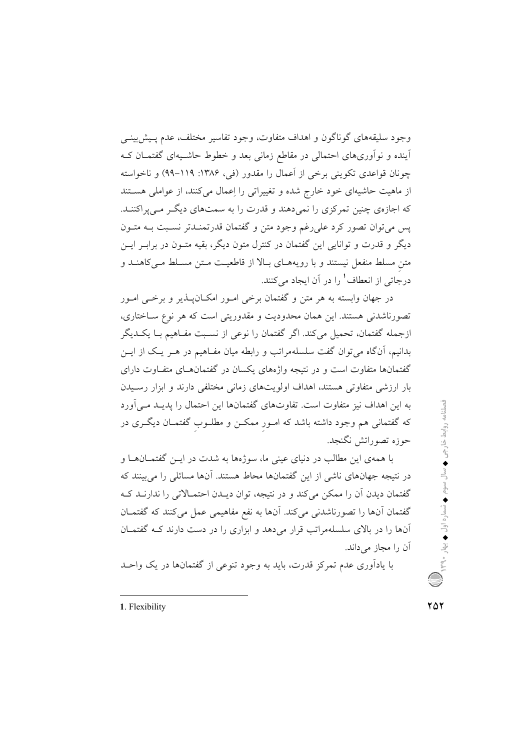وجود سليقههاي گوناگون و اهداف متفاوت، وجود تفاسير مختلف، عدم پـيش;بينــي آینده و نوآوریهای احتمالی در مقاطع زمانی بعد و خطوط حاشـیهای گفتمـان کـه چونان قواعدی تکوینی برخی از اَعمال را مقدور (فی، ۱۳۸۶: ۱۱۹–۹۹) و ناخواسته از ماهیت حاشیهای خود خارج شده و تغییراتی را اعمال می کنند، از عواملی هســتند که اجازهی چنین تمرکزی را نمی دهند و قدرت را به سمتهای دیگر مـی پراکننـد. پس می توان تصور کرد علی رغم وجود متن و گفتمان قدرتمنـدتر نسـبت بـه متـون دیگر و قدرت و توانایی این گفتمان در کنترل متون دیگر، بقیه متـون در برابـر ایــن متن مسلط منفعل نیستند و با رویههای بالا از قاطعیت متن مسلط می کاهنـد و درجاتي از انعطاف<sup>1</sup> را در آن ايجاد مي كنند.

در جهان وابسته به هر متن و گفتمان برخی امـور امکــان پــذیر و برخــی امــور تصورناشدنی هستند. این همان محدودیت و مقدوریتی است که هر نوع سـاختاری، ازجمله گفتمان، تحمیل میکند. اگر گفتمان را نوعی از نسـبت مفـاهیم بـا یکـدیگر بدانیم، آنگاه می توان گفت سلسلهمراتب و رابطه میان مفـاهیم در هـر یـک از ایــن گفتمانها متفاوت است و در نتیجه واژههای یکسان در گفتمانهـای متفـاوت دارای بار ارزشی متفاوتی هستند، اهداف اولویتهای زمانی مختلفی دارند و ابزار رسـیدن به این اهداف نیز متفاوت است. تفاوتهای گفتمانها این احتمال را پدیـد مـی|ورد که گفتمانی هم وجود داشته باشد که امـور ممکـن و مطلـوب گفتمـان دیگـری در حوزه تصوراتش نگنجد.

با همهی این مطالب در دنیای عینی ما، سوژهها به شدت در ایــن گفتمــانهــا و در نتیجه جهانهای ناشی از این گفتمانها محاط هستند. آنها مسائلی را میبینند که گفتمان دیدن آن را ممکن می کند و در نتیجه، توان دیـدن احتمـالاتی را ندارنـد کـه گفتمان آنها را تصورناشدنی می کند. آنها به نفع مفاهیمی عمل می کنند که گفتمـان آنها را در بالای سلسلهمراتب قرار میدهد و ابزاری را در دست دارند کـه گفتمـان آن را مجاز می داند.

با یادآوری عدم تمرکز قدرت، باید به وجود تنوعی از گفتمانها در یک واحـد

1. Flexibility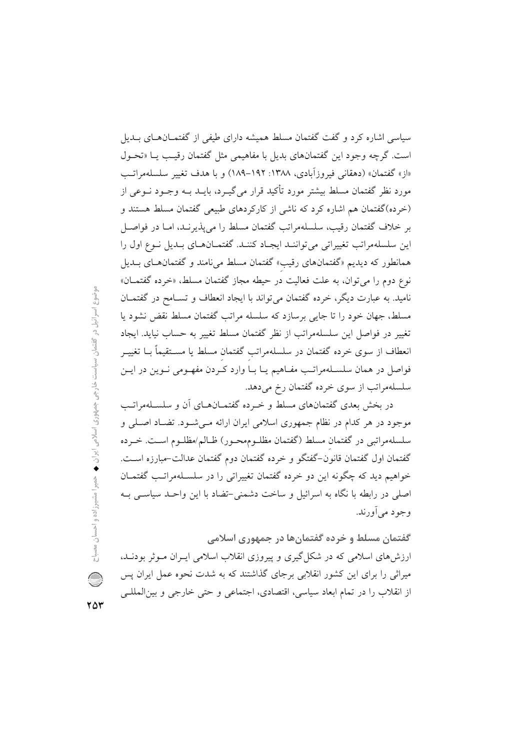سیاسی اشاره کرد و گفت گفتمان مسلط همیشه دارای طیفی از گفتمـانهـای بــدیل است. گرچه وجود این گفتمانهای بدیل با مفاهیمی مثل گفتمان رقیب یـا «تحـول «از» گفتمان» (دهقانی فیروزآبادی، ۱۳۸۸: ۱۹۲–۱۸۹) و با هدف تغییر سلسلهمراتب مورد نظر گفتمان مسلط بیشتر مورد تأکید قرار می گیـرد، بایــد بــه وجــود نــوعی از (خرده)گفتمان هم اشاره کرد که ناشی از کارکردهای طبیعی گفتمان مسلط هستند و بر خلاف گفتمان رقیب، سلسلهمراتب گفتمان مسلط را میپذیرنـد، امـا در فواصـل این سلسلهمراتب تغییراتی می تواننـد ایجـاد کننـد. گفتمـانهـای بـدیل نـوع اول را همانطور که دیدیم «گفتمانهای رقیب» گفتمان مسلط می نامند و گفتمانهای بـدیل نوع دوم را می توان، به علت فعالیت در حیطه مجاز گفتمان مسلط، «خرده گفتمــان» نامید. به عبارت دیگر، خرده گفتمان می تواند با ایجاد انعطاف و تسـامح در گفتمــان مسلط، جهان خود را تا جایی برسازد که سلسله مراتب گفتمان مسلط نقض نشود یا تغییر در فواصل این سلسلهمراتب از نظر گفتمان مسلط تغییر به حساب نیاید. ایجاد انعطاف از سوی خرده گفتمان در سلسلهمراتب گفتمان مسلط یا مسـتقیماً بــا تغییــر فواصل در همان سلسـلهمراتـب مفـاهيم يـا بـا وارد كـردن مفهـومى نـوين در ايـن سلسلهمراتب از سوی خرده گفتمان رخ میدهد.

در بخش بعدی گفتمانهای مسلط و خـرده گفتمــانهــای آن و سلســلهمراتــب موجود در هر کدام در نظام جمهوری اسلامی ایران ارائه مـی شـود. تضـاد اصـلی و سلسلهمراتبی در گفتمان مسلط (گفتمان مظلـوممحـور) ظـالم/مظلـوم اسـت. خــرده گفتمان اول گفتمان قانون–گفتگو و خرده گفتمان دوم گفتمان عدالت–مبارزه اســت. خواهیم دید که چگونه این دو خرده گفتمان تغییراتی را در سلسـلهمراتـب گفتمـان اصلی در رابطه با نگاه به اسرائیل و ساخت دشمنی-تضاد با این واحـد سیاســی بــه و جو د مي آورند.

گفتمان مسلط و خرده گفتمانها در جمهوری اسلامی ارزش های اسلامی که در شکل گیری و پیروزی انقلاب اسلامی ایـران مـوثر بودنـد، میراثی را برای این کشور انقلابی برجای گذاشتند که به شدت نحوه عمل ایران پس از انقلاب را در تمام ابعاد سیاسی، اقتصادی، اجتماعی و حتی خارجی و بینالمللـی

وضوع اسرائیل در گفتمان سیاست خارجی جمهوری اسلامی ایران ♦ حمیرا مشیرزاده و احسان مصباح  $\bigcirc$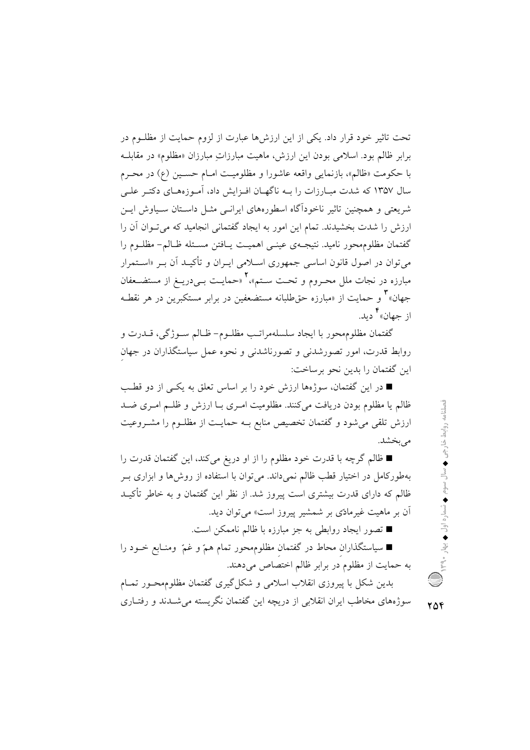تحت تاثیر خود قرار داد. یکی از این ارزشها عبارت از لزوم حمایت از مظلـوم در برابر ظالم بود. اسلامی بودن این ارزش، ماهیت مبارزاتِ مبارزان «مظلوم» در مقابلــه با حکومت «ظالم»، بازنمایی واقعه عاشورا و مظلومیت امـام حسـین (ع) در محـرم سال ۱۳۵۷ که شدت مبـارزات را بــه ناگهـان افـزايش داد، آمـوزههـاي دکتـر علــی شریعتی و همچنین تاثیر ناخودآگاه اسطورههای ایرانسی مثـل داسـتان سـیاوش ایــن ارزش را شدت بخشیدند. تمام این امور به ایجاد گفتمانی انجامید که میتوان آن را گفتمان مظلومهحور نامید. نتیجـهی عینـی اهمیـت پـافتن مسـئله ظـالـم- مظلـوم را می توان در اصول قانون اساسی جمهوری اسـلامی ایـران و تأکیـد آن بـر «اسـتمرار مبارزه در نجات ملل محـروم و تحـت سـتم»،٢ «حمايـت بـيدريــغ از مستضــعفان جهان»<sup>۲</sup> و حمایت از «مبارزه حقطلبانه مستضعفین در برابر مستکبرین در هر نقطـه از جهان»<sup>۲</sup> دید.

گفتمان مظلومهحور با ايجاد سلسلهمراتـب مظلـوم- ظـالم سـوژگي، قــدرت و روابط قدرت، امور تصورشدنی و تصورناشدنی و نحوه عمل سیاستگذاران در جهان اين گفتمان را بدين نحو برساخت:

■ در این گفتمان، سوژهها ارزش خود را بر اساس تعلق به یکـی از دو قطـب ظالم یا مظلوم بودن دریافت می کنند. مظلومیت امـری بــا ارزش و ظلــم امـری ضــد ارزش تلقی می شود و گفتمان تخصیص منابع بـه حمایـت از مظلـوم را مشـروعیت می بخشد.

■ ظالم گرچه با قدرت خود مظلوم را از او دریغ میکند، این گفتمان قدرت را بهطورکامل در اختیار قطب ظالم نمیداند. میتوان با استفاده از روشها و ابزاری بـر ظالم که دارای قدرت بیشتری است پیروز شد. از نظر این گفتمان و به خاطر تأکیـد آن بر ماهیت غیرمادّی بر شمشیر پیروز است» می توان دید.

■ تصور ايجاد روابطي به جز مبارزه با ظالم ناممكن است.

■ سیاستگذاران محاط در گفتمان مظلومهحور تمام همّ و غمّ ً ومنـابع خـود را به حمایت از مظلوم در برابر ظالم اختصاص میدهند.

بدین شکل با پیروزی انقلاب اسلامی و شکل گیری گفتمان مظلومهحـور تمـام سوژههای مخاطب ایران انقلابی از دریچه این گفتمان نگریسته می شــدند و رفتــاری ٢٥۴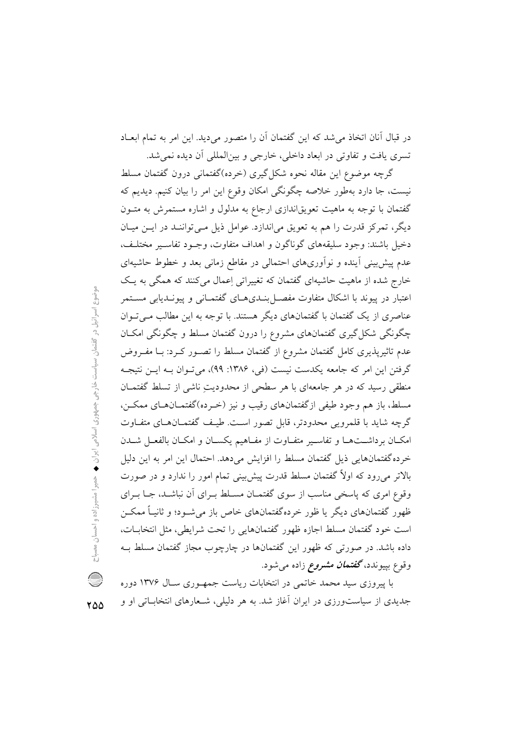در قبال آنان اتخاذ می شد که این گفتمان آن را متصور می دید. این امر به تمام ابعـاد تسري يافت و تفاوتي در ابعاد داخلي، خارجي و بينالمللي أن ديده نمي شد.

گرچه موضوع این مقاله نحوه شکل گیری (خرده)گفتمانی درون گفتمان مسلط نیست، جا دارد بهطور خلاصه چگونگی امکان وقوع این امر را بیان کنیم. دیدیم که گفتمان با توجه به ماهیت تعویقاندازی ارجاع به مدلول و اشاره مستمرش به متـون دیگر، تمرکز قدرت را هم به تعویق میاندازد. عوامل ذیل مـیتواننـد در ایـن میـان دخيل باشند: وجود سليقههاي گوناگون و اهداف متفاوت، وجـود تفاسـير مختلـف، عدم پیش بینی اَینده و نواَوریهای احتمالی در مقاطع زمانی بعد و خطوط حاشیهای خارج شده از ماهیت حاشیهای گفتمان که تغییراتی اِعمال میکنند که همگی به یک اعتبار در پیوند با اشکال متفاوت مفصــل بنــدیهــای گفتمــانی و پیونــدیابی مســتمر عناصری از یک گفتمان با گفتمانهای دیگر هستند. با توجه به این مطالب مـی تـوان چگونگی شکل گیری گفتمانهای مشروع را درون گفتمان مسلط و چگونگی امکـان عدم تاثیرپذیری کامل گفتمان مشروع از گفتمان مسلط را تصـور کـرد: بـا مفـروض گرفتن این امر که جامعه یکدست نیست (فی، ۱۳۸۶: ۹۹)، می تـوان بـه ایــن نتیجـه منطقی رسید که در هر جامعهای با هر سطحی از محدودیتِ ناشی از تسلط گفتمـان مسلط، باز هم وجود طيفي ازگفتمانهاي رقيب و نيز (خـرده)گفتمــانهــاي ممكــن، گرچه شاید با قلمرویی محدودتر، قابل تصور است. طیـف گفتمـانهـای متفـاوت امكـان برداشـتهـا وتفاسـير متفـاوت از مفـاهيم يكسـان و امكـان بالفعـل شـدن خرده گفتمانهایی ذیل گفتمان مسلط را افزایش میدهد. احتمال این امر به این دلیل بالاتر می٫ود که اولاً گفتمان مسلط قدرت پیشبینی تمام امور را ندارد و در صورت وقوع امری که پاسخی مناسب از سوی گفتمـان مسـلط بـرای آن نباشـد، جـا بـرای ظهور گفتمانهای دیگر یا ظور خردهگفتمانهای خاص باز می شـود؛ و ثانیـاً ممکــن است خود گفتمان مسلط اجازه ظهور گفتمانهایی را تحت شرایطی، مثل انتخابـات، داده باشد. در صورتی که ظهور این گفتمانها در چارچوب مجاز گفتمان مسلط ب وقوع بپیوندد، **گفتم***ان مشروع* زاده میشود.

با پیروزی سید محمد خاتمی در انتخابات ریاست جمهـوری سـال ۱۳۷۶ دوره جدیدی از سیاستورزی در ایران آغاز شد. به هر دلیلی، شـعارهای انتخابـاتی او و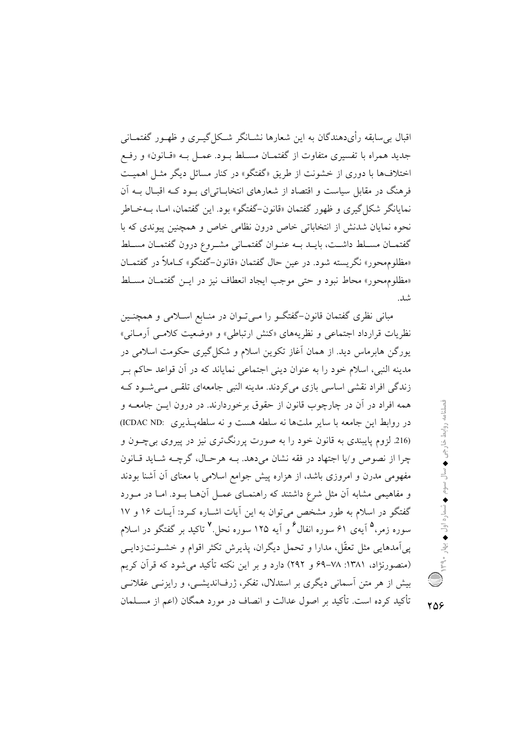اقبال بی سابقه رأیدهندگان به این شعارها نشــانگر شــکل گیــری و ظهـور گفتمــانی جدید همراه با تفسیری متفاوت از گفتمـان مسـلط بـود. عمـل بـه «قـانون» و رفـع اختلافها با دوری از خشونت از طریق «گفتگو» در کنار مسائل دیگر مثـل اهمیـت فرهنگ در مقابل سیاست و اقتصاد از شعارهای انتخابیاتی ای پود کیه اقبیال سه آن نمایانگر شکل گیری و ظهور گفتمان «قانون-گفتگو» بود. این گفتمان، امـا، بــهخــاطر نحوه نمایان شدنش از انتخاباتی خاص درون نظامی خاص و همچنین پیوندی که با گفتمـان مســلط داشــت، بايــد بــه عنــوان گفتمــانى مشــروع درون گفتمــان مســلط «مظلوم محور» نگريسته شود. در عين حال گفتمان «قانون-گفتگو» كـاملاً در گفتمــان «مظلوم محور» محاط نبود و حتى موجب ايجاد انعطاف نيز در ايــن گفتمــان مســلط شد.

مبانی نظری گفتمان قانون-گفتگـو را مـی تـوان در منـابع اسـلامی و همچنـین نظریات قرارداد اجتماعی و نظریههای «کنش ارتباطی» و «وضعیت کلامبی آرمانی» یورگن هابرماس دید. از همان آغاز تکوین اسلام و شکل گیری حکومت اسلامی در مدينه النبي، اسلام خود را به عنوان ديني اجتماعي نماياند كه در أن قواعد حاكم بـر زندگی افراد نقشی اساسی بازی می کردند. مدینه النبی جامعهای تلقبی مے شود ک همه افراد در آن در چارچوب قانون از حقوق برخوردارند. در درون ایــن جامعــه و در روابط این جامعه با سایر ملتها نه سلطه هست و نه سلطهپـذیری :ICDAC ND (216 لزوم پایبندی به قانون خود را به صورت پررنگتری نیز در پیروی بیچون و چرا از نصوص و/يا اجتهاد در فقه نشان مي دهد. بـه هرحـال، گرچــه شــايد قــانون مفهومی مدرن و امروزی باشد، از هزاره پیش جوامع اسلامی با معنای آن آشنا بودند و مفاهیمی مشابه آن مثل شرع داشتند که راهنمـای عمـل آنهـا بـود. امـا در مـورد گفتگو در اسلام به طور مشخص می توان به این آیات اشـاره کـرد: آیـات ۱۶ و ۱۷ سوره زمر،<sup>۵</sup> آیهی ۶۱ سوره انفال<sup>۶</sup> و آیه ۱۲۵ سوره نحل.<sup>۷</sup> تاکید بر گفتگو در اسلام یی اَمدهایی مثل تعقّل، مدارا و تحمل دیگران، پذیرش تکثر اقوام و خشــونت;دایــی (منصورنژاد، ۱۳۸۱: ۷۸–۶۹ و ۲۹۲) دارد و بر این نکته تأکید می شود که قرآن کریم بیش از هر متن اسمانی دیگری بر استدلال، تفکر، ژرفاندیشـی، و رایزنـی عقلانـی تأكيد كرده است. تأكيد بر اصول عدالت و انصاف در مورد همگان (اعم از مسـلمان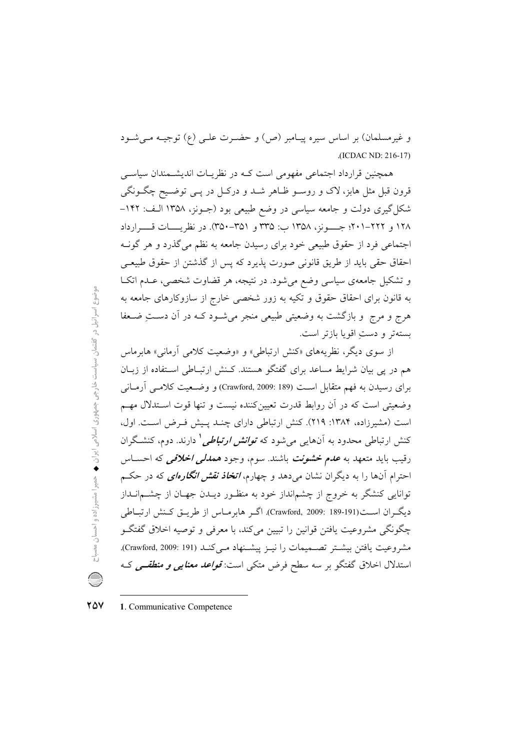و غیرمسلمان) بر اساس سیره پیـامبر (ص) و حضـرت علـی (ع) توجیـه مـیشـود (ICDAC ND: 216-17)

همچنین قرارداد اجتماعی مفهومی است کـه در نظریـات اندیشـمندان سیاسـی قرون قبل مثل هابز، لاک و روسـو ظـاهر شــد و درکـل در يــي توضــيح چگــونگـي شکل گیری دولت و جامعه سیاسی در وضع طبیعی بود (جـونز، ۱۳۵۸ الـف: ۱۴۲-۱۲۸ و ۲۲۲–۲۰۱؛ جـــــونز، ۱۳۵۸ ب: ۳۵۵ و ۳۵۱–۳۵۰). در نظریـــــات قـــــرارداد اجتماعی فرد از حقوق طبیعی خود برای رسیدن جامعه به نظم میگذرد و هر گونـه احقاق حقى بايد از طريق قانوني صورت يذيرد كه يس از گذشتن از حقوق طبيعـي و تشکیل جامعهی سیاسی وضع می شود. در نتیجه، هر قضاوت شخصی، عـدم اتکـا به قانون برای احقاق حقوق و تکیه به زور شخصی خارج از سازوکارهای جامعه به هرج و مرج ً و بازگشت به وضعیتی طبیعی منجر می شـود کــه در آن دســتِ ضــعفا بستهتر و دستِ اقويا بازتر است.

از سوی دیگر، نظریههای «کنش ارتباطی» و «وضعیت کلامی آرمانی» هابرماس هم در پی بیان شرایط مساعد برای گفتگو هستند. کـنش ارتبـاطی اسـتفاده از زبـان برای رسیدن به فهم متقابل است (Crawford, 2009: 189) و وضعیت کلامبی آرمـانی وضعیتی است که در آن روابط قدرت تعیین کننده نیست و تنها قوت اسـتدلال مهـم است (مشیرزاده، ۱۳۸۴: ۲۱۹). کنش ارتباطی دارای چنـد پـیش فـرض اسـت. اول، کنش ارتباطی محدود به اَنهایی میشود که *توانش ارتباطی* ٰ دارند. دوم، کنشگران رقيب بايد متعهد به عدم خشونت باشند. سوم، وجود هم*دل<sub>د</sub> اخلاقی* که احسـاس احترام آنها را به دیگران نشان میدهد و چهارم، *اتخاذ نقش انگارهای* که در حکـم توانایی کنشگر به خروج از چشمانداز خود به منظـور دیــدن جهـان از چشــمانــداز ديگران است(191-189 :Crawford, 2009). اگير هابرماس از طريبق كينش ارتباطي چگونگی مشروعیت یافتن قوانین را تبیین میکند، با معرفی و توصیه اخلاق گفتگـو مشروعيت يافتن بيشتر تصميمات را نيـز ييشـنهاد مـي كنـد (Crawford, 2009: 191). استدلال اخلاق گفتگو بر سه سطح فرض متکی است: *قواعد معنایی و منطقــی ک*ـه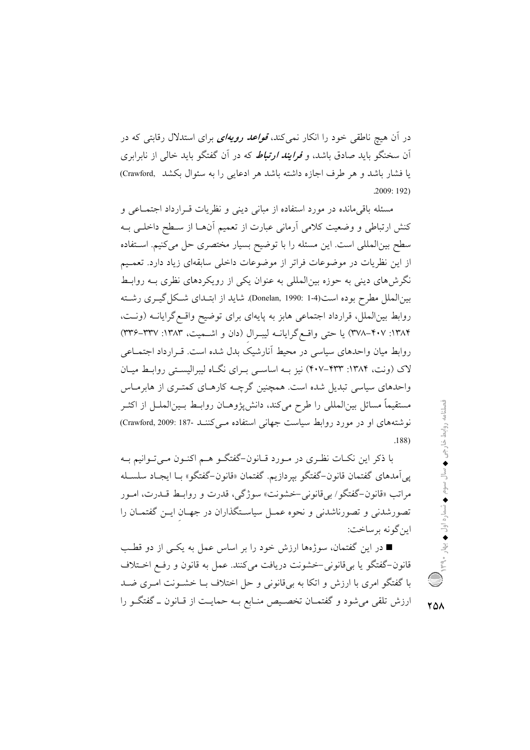در آن هیچ ناطقی خود را انکار نمی کند، *قواعد رویهای* برای استدلال رقابتی که در آن سخنگو باید صادق باشد، و *فرایند ارتباط* که در آن گفتگو باید خال<sub>ی</sub> از نابرابری يا فشار باشد و هر طرف اجازه داشته باشد هر ادعايي را به سئوال بكشد (Crawford)  $.2009:192)$ 

مسئله باقی مانده در مورد استفاده از مبانی دینی و نظریات قبرارداد اجتمـاعی و كنش ارتباطي و وضعيت كلامي أرماني عبارت از تعميم أنهـا از سـطح داخلـي بــه سطح بینالمللی است. این مسئله را با توضیح بسیار مختصری حل می کنیم. استفاده از این نظریات در موضوعات فراتر از موضوعات داخلی سابقهای زیاد دارد. تعمیم نگرشهای دینی به حوزه بین|لمللی به عنوان یکی از رویکردهای نظری بـه روابـط بین|لملل مطرح بوده است(4-1 :Donelan, 1990). شاید از ابتـدای شـكل گیــری رشــته روابط بین|لملل، قرارداد اجتماعی هابز به پایهای برای توضیح واقع گرایانــه (ونــت، ۱۳۸۴: ۴۰۷–۳۷۸) یا حتی واقع گرایانــه لیبـرال (دان و اشــمیت، ۱۳۸۳: ۳۳۷–۳۳۶) روابط میان واحدهای سیاسی در محیط آنارشیک بدل شده است. قـرارداد اجتمـاعی لاک (ونت، ۱۳۸۴: ۴۰۷–۴۰۷) نیز بـه اساسـی بـرای نگـاه لیبرالیسـتی روابـط میـان واحدهای سیاسی تبدیل شده است. همچنین گرچــه کارهــای کمتــری از هابرمــاس مستقيماً مسائل بين|لمللي را طرح ميكند، دانشپزوهـان روابـط بـين|لملـل از اكثـر نوشتههای او در مورد روابط سیاست جهانی استفاده مـی کننـد -187 :Crawford, 2009  $.188)$ 

با ذکر این نکـات نظـری در مـورد قــانون-گفتگــو هــم اکنــون مــیتــوانیم بــه پیآمدهای گفتمان قانون-گفتگو بپردازیم. گفتمان «قانون-گفتگو» بـا ایجـاد سلسـله مراتب «قانون-گفتگو/ بي قانوني –خشونت» سوژگي، قدرت و روابـط قــدرت، امــور تصورشدنی و تصورناشدنی و نحوه عمـل سیاسـتگذاران در جهـان ایــن گفتمــان را اين گونه برساخت:

■ در این گفتمان، سوژهها ارزش خود را بر اساس عمل به یکـی از دو قطـب قانون–گفتگو یا بیقانونی–خشونت دریافت میکنند. عمل به قانون و رفع اخـتلاف با گفتگو امری با ارزش و اتکا به بیقانونی و حل اختلاف بــا خشــونت امــری ضــد ارزش تلقی می شود و گفتمــان تخصــیص منــابع بــه حمایــت از قــانون ــ گفتگــو را فصلنامه روابط خارجی ♦ سال سوم ♦ شماره اول ♦ بهار ٩٠ولا)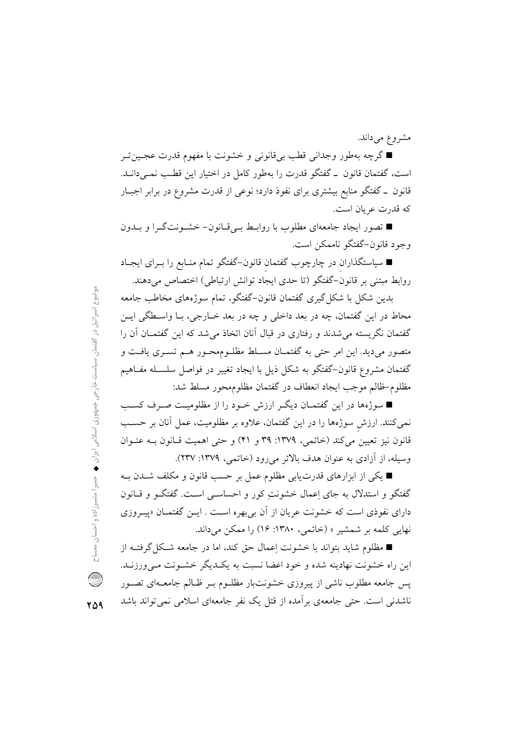مشروع ميداند.

■ گرچه بهطور وجدانی قطب بیقانونی و خشونت با مفهوم قدرت عجـینتـر است، گفتمان قانون \_ گفتگو قدرت را بهطور كامل در اختيار اين قطب نمـىدانــد. قانون \_ گفتگو منابع بیشتری برای نفوذ دارد؛ نوعی از قدرت مشروع در برابر اجبـار كه قدرت عريان است.

■ تصور ایجاد جامعهای مطلوب با روابـط بـیقـانون− خشـونتگـرا و بــدون وجود قانون-گفتگو ناممکن است.

■ سیاستگذاران در چارچوب گفتمان قانون–گفتگو تمام منـابع را بــرای ایجــاد روابط مبتنی بر قانون-گفتگو (تا حدی ایجاد توانش ارتباطی) اختصاص میدهند.

بدین شکل با شکل گیری گفتمان قانون–گفتگو، تمام سوژههای مخاطب جامعه محاط در اين گفتمان، چه در بعد داخلي و چه در بعد خــارجي، بــا واســطگي ايــن گفتمان نگریسته می شدند و رفتاری در قبال آنان اتخاذ می شد که این گفتمـان آن را متصور میدید. این امر حتی به گفتمـان مسـلط مظلـوممحـور هـم تسـری یافـت و گفتمان مشروع قانون–گفتگو به شکل ذیل با ایجاد تغییر در فواصل سلسـله مفـاهیم مظلوم-ظالم موجب ايجاد انعطاف در گفتمان مظلومهحور مسلط شد:

■ سوژهها در این گفتمـان دیگـر ارزش خـود را از مظلومیـت صـرف کسـب نمی کنند. ارزش سوژهها را در این گفتمان، علاوه بر مظلومیت، عمل آنان بر حسب قانون نیز تعیین میکند (خاتمی، ۱۳۷۹: ۳۹ و ۴۱) و حتی اهمیت قـانون بـه عنـوان وسيله، از آزادي به عنوان هدف بالاتر مي رود (خاتمي، ١٣٧٩: ٢٣٧).

■ یکی از ابزارهای قدرت یابی مظلوم عمل بر حسب قانون و مکلف شـدن بـه گفتگو و استدلال به جای اِعمال خشونتِ کور و احساسـی اسـت. گفتگـو و قـانون دارای نفوذی است که خشونت عریان از آن بی بهره است . ایــن گفتمــان «پیــروزی نهایی کلمه بر شمشیر » (خاتمی، ۱۳۸۰: ۱۶) را ممکن میداند.

■ مظلوم شاید بتواند با خشونت اِعمال حق کند، اما در جامعه شکل گرفتــه از این راه خشونت نهادینه شده و خود اعضا نسبت به یک یگر خشونت مـی ورزنــد. پس جامعه مطلوب ناشی از پیروزی خشونتبار مظلـوم بـر ظـالم جامعــهای تصــور ناشدنی است. حتی جامعهی بر آمده از قتل یک نفر جامعهای اسلامی نمی تواند باشد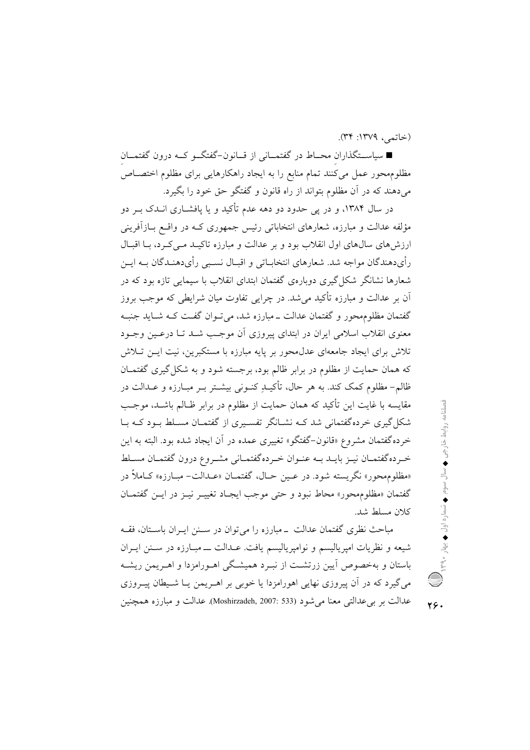(خاتمي، ١٣٧٩: ٣٣).

■ سیاســتگذاران محــاط در گفتمــانی از قــانون-گفتگــو کــه درون گفتمــان مظلومهحور عمل میکنند تمام منابع را به ایجاد راهکارهایی برای مظلوم اختصـاص میدهند که در آن مظلوم بتواند از راه قانون و گفتگو حق خود را بگیرد.

در سال ۱۳۸۴، و در پی حدود دو دهه عدم تأکید و یا یافشــاری انــدک بــر دو مؤلفه عدالت و مبارزه، شعارهای انتخاباتی رئیس جمهوری کـه در واقــع بــازآفرینی ارزش های سالهای اول انقلاب بود و بر عدالت و مبارزه تاکیـد مـی کـرد، بــا اقبــال رأىدهندگان مواجه شد. شعارهاى انتخابــاتى و اقبــال نســبى رأىدهنــدگان بــه ايــن شعارها نشانگر شکل گیری دوبارهی گفتمان ابتدای انقلاب با سیمایی تازه بود که در ۔<br>اُن پر عدالت و مبارزہ تأکید مے شد. در چراپے تفاوت مبان شرایطے که موجب پروز گفتمان مظلوم محور و گفتمان عدالت ــ مبارزه شد، می تــوان گفــت کــه شــايد جنبــه معنوی انقلاب اسلامی ایران در ابتدای پیروزی آن موجب شـد تــا درعــین وجــود .<br>تلاش برای ایجاد جامعهای عدل.محور بر پایه مبارزه با مستکبرین، نیت ایــن تــلاش که همان حمایت از مظلوم در برابر ظالم بود، برجسته شود و به شکل گیری گفتمـان ظالم– مظلوم کمک کند. به هر حال، تأکیــلا ِکنــونی بیشــتر بــر مبــارزه و عــدالت در مقايسه با غايت اين تأكيد كه همان حمايت از مظلوم در برابر ظـالم باشـد، موجـب شکل گیری خردهگفتمانی شد کـه نشـانگر تفسـیری از گفتمـان مسـلط بـود کـه بـا خرده گفتمان مشروع «قانون-گفتگو» تغییری عمده در آن ایجاد شده بود. البته به این خبرده گفتمسان نیبز بایبد ببه عنبوان خبردهگفتمیانی مشیروع درون گفتمیان مسیلط «مظلوم محور» نگريسته شود. در عـين حـال، گفتمـان «عـدالت- مبـارزه» كـاملاً در گفتمان «مظلوم محور» محاط نبود و حتى موجب ايجـاد تغييـر نيــز در ايــن گفتمــان كلان مسلط شد.

مباحث نظری گفتمان عدالت \_مبارزه را می توان در سـنن ایـران باسـتان، فقــه شیعه و نظریات امپریالیسم و نوامپریالیسم یافت. عـدالت ـــ مبـارزه در سـنن ایــران باستان و بهخصوص اّیین زرتشـت از نبـرد همیشـگی اهـورامزدا و اهـریمن ریشـه میگیرد که در آن پیروزی نهایی اهورامزدا یا خوبی بر اهــریمن یــا شــیطان پیــروزی عدالت بر بي عدالتي معنا مي شود (Moshirzadeh, 2007: 533). عدالت و مبارزه همچنين

46.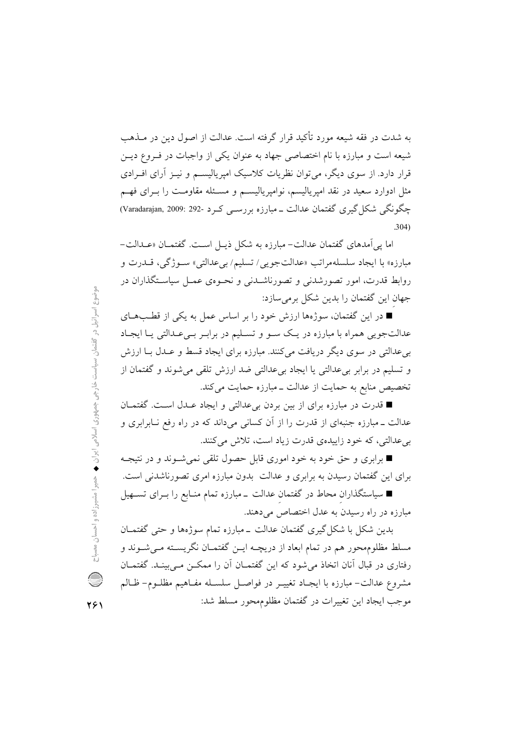به شدت در فقه شیعه مورد تأکید قرار گرفته است. عدالت از اصول دین در مــذهب شیعه است و مبارزه با نام اختصاصی جهاد به عنوان یکی از واجبات در فـروع دیــن قرار دارد. از سوی دیگر، می توان نظریات کلاسیک امپریالیســم و نیــز آرای افــرادی مثل ادوارد سعید در نقد امیریالیسم، نوامیریالیســم و مســئله مقاومـت را بــرای فهــم چگونگی شکل گیری گفتمان عدالت ــ مبارزه بررســی کــرد -292 :Varadarajan, 2009  $.304)$ 

اما یی آمدهای گفتمان عدالت- مبارزه به شکل ذیـل اسـت. گفتمــان «عــدالت-مبارزه» با ايجاد سلسلهمراتب «عدالت جويبي/ تسليم/ بي عدالتي» سـوژگي، قــدرت و روابط قدرت، امور تصورشدنی و تصورناشــدنی و نحــوهی عمــل سیاســتگذاران در جهان این گفتمان را بدین شکل برمی سازد:

■ در این گفتمان، سوژهها ارزش خود را بر اساس عمل به یکی از قطـبهــای عدالتجویی همراه با مبارزه در یک سـو و تسـلیم در برابـر بـیعـدالتی یـا ایجـاد بی عدالتی در سوی دیگر دریافت می کنند. مبارزه برای ایجاد قسط و عـدل بــا ارزش و تسليم در برابر بي عدالتي يا ايجاد بي عدالتي ضد ارزش تلقى مي شوند و گفتمان از تخصیص منابع به حمایت از عدالت ـ مبارزه حمایت می کند.

■ قدرت در مبارزه برای از بین بردن بیءدالتی و ایجاد عـدل اسـت. گفتمــان عدالت ــ مبارزه جنبهای از قدرت را از اّن کسانی میداند که در راه رفع نــابرابری و بی عدالتی، که خود زاییدهی قدرت زیاد است، تلاش میکنند.

■ برابری و حق خود به خود اموری قابل حصول تلقی نمی شـوند و در نتیجـه برای این گفتمان رسیدن به برابری و عدالت بدون مبارزه امری تصورناشدنی است.

■ سیاستگذاران محاط در گفتمان عدالت \_مبارزه تمام منـابع را بــرای تســهیل مبارزه در راه رسیدن به عدل اختصاص می دهند.

بدین شکل با شکل گیری گفتمان عدالت ــ مبارزه تمام سوژهها و حتی گفتمــان مسلط مظلومهحور هم در تمام ابعاد از دریچـه ایــن گفتمــان نگریســته مــیشــوند و رفتاری در قبال آنان اتخاذ می شود که این گفتمــان آن را ممکــن مــی بینــد. گفتمــان مشروع عدالت– مبارزه با ايجـاد تغييـر در فواصـل سلسـله مفـاهيم مظلـوم– ظـالم موجب ايجاد اين تغييرات در گفتمان مظلوم محور مسلط شد: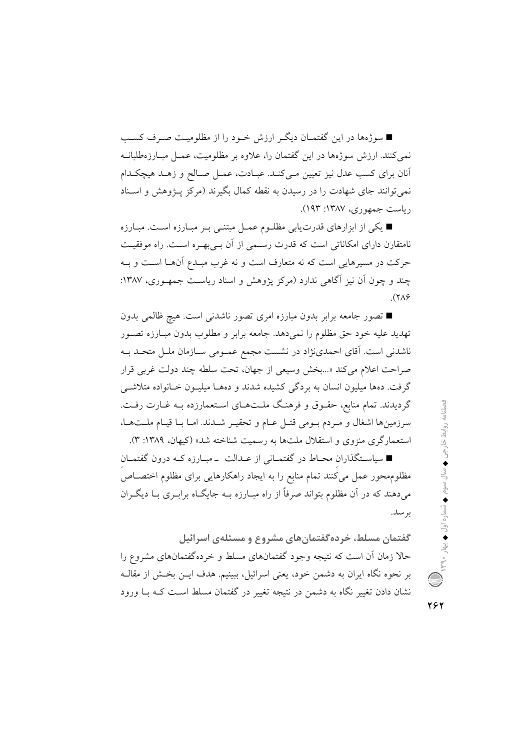■ سوژهها در این گفتمـان دیگـر ارزش خـود را از مظلومیـت صـرف کسـب نمی کنند. ارزش سوژهها در این گفتمان را، علاوه بر مظلومیت، عمـل مبـارزهطلبانــه آنان برای کسب عدل نیز تعیین مےکنـد. عبـادت، عمـل صـالح و زهـد هیچکـدام نمی توانند جای شهادت را در رسیدن به نقطه کمال بگیرند (مرکز پـژوهش و اسـناد رياست جمهوري، ١٣٨٧: ١٩٣).

■ یکی از ابزارهای قدرتیابی مظلـوم عمـل مبتنـی بـر مبـارزه اسـت. مبـارزه نامتقارن دارای امکاناتی است که قدرت رسمی از آن بےبھرہ است. راه موفقیت حرکت در مسیرهایی است که نه متعارف است و نه غرب مبـدع آنهــا اســت و بــه چند و چون اَن نیز اَگاهی ندارد (مرکز پژوهش و اسناد ریاست جمهـوری، ۱۳۸۷:  $(3A)$ 

■ تصور جامعه برابر بدون مبارزه امری تصور ناشدنی است. هیچ ظالمی بدون تهدید علیه خود حق مظلوم را نمیدهد. جامعه برابر و مطلوب بدون مبـارزه تصــور ناشدنی است. آقای احمدینژاد در نشست مجمع عمـومی سـازمان ملـل متحـد بـه صراحت اعلام مي كند «...بخش وسيعي از جهان، تحت سلطه چند دولت غربي قرار گرفت. دهها ميليون انسان به بردگي كشيده شدند و دههـا ميليــون خــانواده متلاشــي گردیدند. تمام منابع، حقـوق و فرهنـگ ملـتهـای اسـتعمارزده بـه غـارت رفـت. سرزمينها اشغال و مـردم بـومي قتـل عـام و تحقيـر شـدند. امـا بـا قيـام ملـتهـا، استعمارگری منزوی و استقلال ملتها به رسمیت شناخته شد» (کیهان، ۱۳۸۹: ۳).

■ سیاسـتگذاران محـاط در گفتمــانی از عــدالت ــ مبــارزه کــه درون گفتمــان مظلومهحور عمل میکنند تمام منابع را به ایجاد راهکارهایی برای مظلوم اختصـاص میدهند که در آن مظلوم بتواند صرفاً از راه مبـارزه بــه جایگــاه برابــری بــا دیگــران ىو سىل.

گفتمان مسلط، خرده گفتمانهای مشروع و مسئلهی اسرائیل حالا زمان آن است که نتیجه وجود گفتمانهای مسلط و خردهگفتمانهای مشروع را بر نحوه نگاه ایران به دشمن خود، یعنی اسرائیل، ببینیم. هدف ایـن بخـش از مقالـه نشان دادن تغییر نگاه به دشمن در نتیجه تغییر در گفتمان مسلط است کـه بــا ورود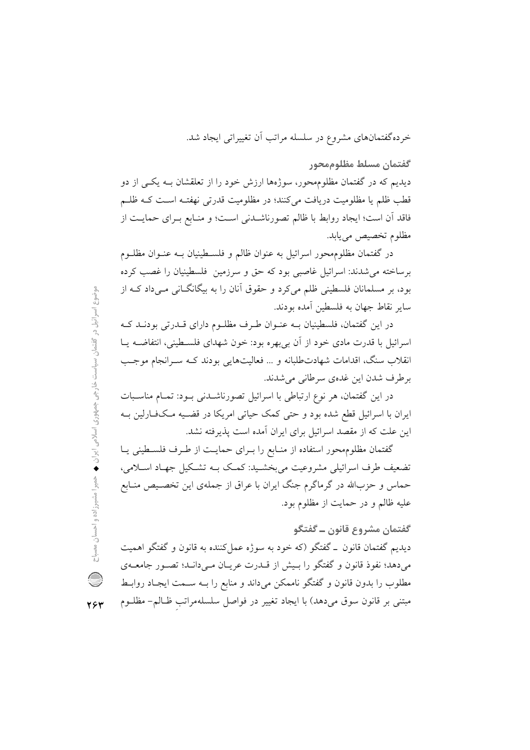خردهگفتمانهای مشروع در سلسله مراتب اَن تغییراتی ایجاد شد.

گفتمان مسلط مظلوممحور

دیدیم که در گفتمان مظلومهحور، سوژهها ارزش خود را از تعلقشان بـه یکـی از دو قطب ظلم یا مظلومیت دریافت میکنند؛ در مظلومیت قدرتی نهفتـه اسـت کـه ظلـم فاقد أن است؛ ايجاد روابط با ظالم تصورناشـدني اسـت؛ و منـابع بـراي حمايـت از مظلوم تخصيص مي يابد.

در گفتمان مظلومهحور اسرائیل به عنوان ظالم و فلسـطینیان بـه عنـوان مظلـوم برساخته می شدند: اسرائیل غاصبی بود که حق و سرزمین فلسطینیان را غصب کرده بود، بر مسلمانان فلسطینی ظلم میکرد و حقوق آنان را به بیگانگــانی مــیداد کــه از ساير نقاط جهان به فلسطين آمده بودند.

در این گفتمان، فلسطینیان بـه عنـوان طـرف مظلـوم دارای قــدرتی بودنــد کــه اسرائیل با قدرت مادی خود از آن بیبهره بود: خون شهدای فلسـطینی، انتفاضـه یــا انقلاب سنگ، اقدامات شهادتطلبانه و … فعالیتهایی بودند کـه سـرانجام موجـب برطرف شدن این غدهی سرطانی می شدند.

در این گفتمان، هر نوع ارتباطی با اسرائیل تصورناشدنی بود: تمـام مناسـبات ایران با اسرائیل قطع شده بود و حتی کمک حیاتی امریکا در قضـیه مـکفـارلین بـه این علت که از مقصد اسرائیل برای ایران آمده است پذیرفته نشد.

گفتمان مظلوم محور استفاده از منـابع را بـراي حمايـت از طـرف فلسـطيني يـا تضعیف طرف اسرائیلی مشروعیت می بخشـید: کمـک بــه تشـکیل جهـاد اسـلامی، حماس و حزبالله در گرماگرم جنگ ایران با عراق از جملهی این تخصـیص منـابع عليه ظالم و در حمايت از مظلوم بود.

گفتمان مشروع قانون ــ گفتگو

دیدیم گفتمان قانون \_ گفتگو (که خود به سوژه عمل کننده به قانون و گفتگو اهمیت می دهد؛ نفوذ قانون و گفتگو را بـیش از قــدرت عریــان مــی(دانــد؛ تصــور جامعــهي مطلوب را بدون قانون و گفتگو ناممکن میداند و منابع را بــه ســمت ایجـاد روابـط مبتنی بر قانون سوق میدهد) با ایجاد تغییر در فواصل سلسلهمراتب ظـالم- مظلــوم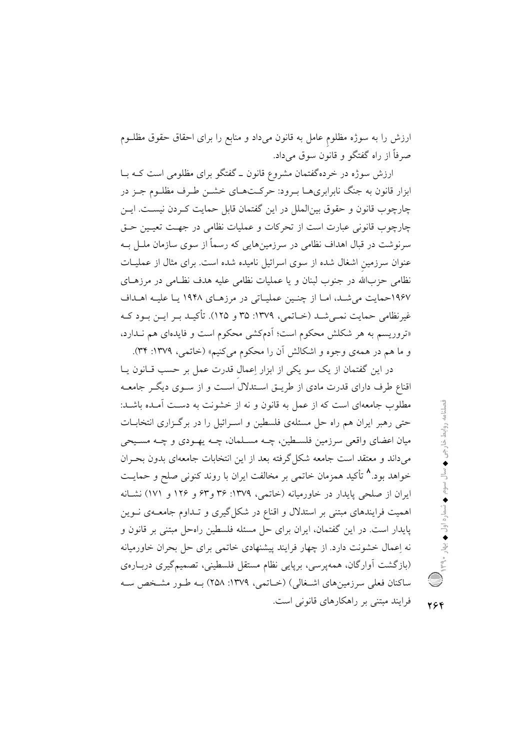ارزش را به سوژه مظلوم عامل به قانون میداد و منابع را برای احقاق حقوق مظلـوم صرفاً از راه گفتگو و قانون سوق میداد.

ارزش سوژه در خردهگفتمان مشروع قانون ـ گفتگو برای مظلومی است کـه بـا ابزار قانون به جنگ نابرابریهــا بــرود: حرکــتهــای خشــن طـرف مظلــوم جــز در چارچوب قانون و حقوق بین|لملل در این گفتمان قابل حمایت کـردن نیسـت. ایــن چارچوب قانونی عبارت است از تحرکات و عملیات نظامی در جهت تعیـین حـق سرنوشت در قبال اهداف نظامی در سرزمینهایی که رسماً از سوی سازمان ملـل بــه عنوان سرزمین اشغال شده از سوی اسرائیل نامیده شده است. برای مثال از عملیـات نظامی حزبالله در جنوب لبنان و یا عملیات نظامی علیه هدف نظـامی در مرزهـای ۱۹۶۷حمایت می شد، امـا از چنـین عملیـاتی در مرزهـای ۱۹۴۸ یـا علیـه اهـداف غیرنظامی حمایت نمبی شـد (خـاتمی، ۱۳۷۹: ۳۵ و ۱۲۵). تأکیـد بـر ایـن بـود کـه «تروریسم به هر شکلش محکوم است؛ اَدمکشی محکوم است و فایدهای هم نـدارد، و ما هم در همهي وجوه و اشكالش أن را محكوم مي كنيم» (خاتمي، ١٣٧٩: ٣۴).

در این گفتمان از یک سو یکی از ابزار اِعمال قدرت عمل بر حسب قـانون یـا اقناع طرف دارای قدرت مادی از طریــق اســتدلال اســت و از ســوی دیگــر جامعــه مطلوب جامعهای است که از عمل به قانون و نه از خشونت به دست آمـده باشـد: حتی رهبر ایران هم راه حل مسئلهی فلسطین و اسـرائیل را در برگـزاری انتخابــات میان اعضای واقعی سرزمین فلسطین، چـه مسـلمان، چـه یهـودی و چـه مسـیحی می داند و معتقد است جامعه شکل گرفته بعد از این انتخابات جامعهای بدون بحـران خواهد بود.^ تأکید همزمان خاتمی بر مخالفت ایران با روند کنونی صلح و حمایــت ایران از صلحی پایدار در خاورمیانه (خاتمی، ۱۳۷۹: ۳۶ و۶۳ و ۱۲۶ و ۱۷۱) نشـانه اهمیت فرایندهای مبتنی بر استدلال و اقناع در شکل گیری و تـداوم جامعــهی نــوین پایدار است. در این گفتمان، ایران برای حل مسئله فلسطین راهحل مبتنی بر قانون و نه اِعمال خشونت دارد. از چهار فرایند پیشنهادی خاتمی برای حل بحران خاورمیانه (بازگشت آوارگان، همهپرسی، برپایی نظام مستقل فلسطینی، تصمیمگیری دربـارهی ساکنان فعلی سرزمینهای اشـغالی) (خـاتمی، ۱۳۷۹: ۲۵۸) بـه طـور مشـخص سـه فرایند مبتنی بر راهکارهای قانونی است.

فصلتاه تهرانية المجراة المستوم المستوم المستوم المستورات المستورات المستورة المستورة المستورة المستور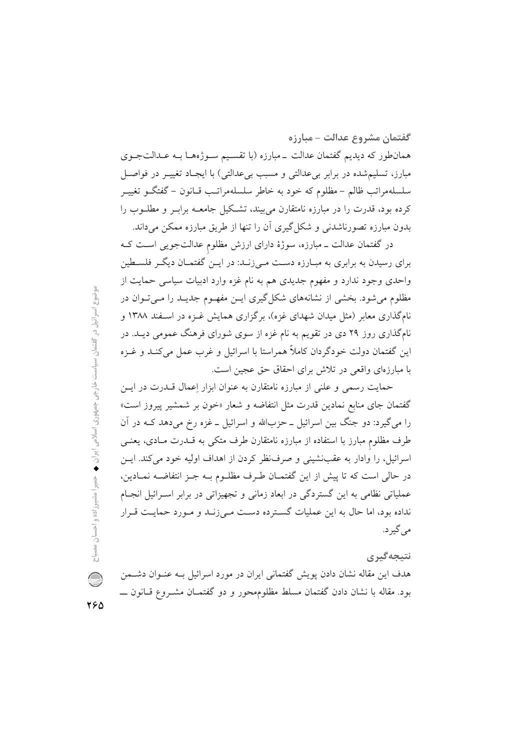گفتمان مشروع عدالت – مبارزه همانطور که دیدیم گفتمان عدالت \_مبارزه (با تقسیم سـوژههـا بـه عـدالتجـوی مبارز، تسلیم شده در برابر ب*ی عد*الت<sub></sub>ی و مسبب بی عدالت<sub>ی</sub>) با ایجـاد تغییــر در فواصــل سلسلهمراتب ظالم – مظلوم که خود به خاطر سلسلهمراتـب قـانون – گفتگــو تغییــر کرده بود، قدرت را در مبارزه نامتقارن می بیند، تشکیل جامعــه برابــر و مطلــوب را بدون مبارزه تصورناشدنی و شکل گیری آن را تنها از طریق مبارزه ممکن میداند.

در گفتمان عدالت ــ مبارزه، سوژهٔ دارای ارزش مظلوم عدالتجویی اسـت کـه برای رسیدن به برابری به مبـارزه دسـت مـی;زـنـد: در ایــن گفتمــان دیگــر فلســطین واحدی وجود ندارد و مفهوم جدیدی هم به نام غزه وارد ادبیات سیاسی حمایت از مظلوم می شود. بخشی از نشانههای شکل گیری ایـن مفهـوم جدیـد را مـی تـوان در نامگذاری معابر (مثل میدان شهدای غزه)، برگزاری همایش غـزه در اسـفند ۱۳۸۸ و نامگذاری روز ۲۹ دی در تقویم به نام غزه از سوی شورای فرهنگ عمومی دیــد. در این گفتمان دولت خودگردان کاملاً همراستا با اسرائیل و غرب عمل میکنـد و غــزه با مبارزهای واقعی در تلاش برای احقاق حق عجین است.

حمایت رسمی و علنی از مبارزه نامتقارن به عنوان ابزار اِعمال قــدرت در ایــن گفتمان جای منابع نمادین قدرت مثل انتفاضه و شعار «خون بر شمشیر پیروز است» را میگیرد: دو جنگ بین اسرائیل ــ حزبالله و اسرائیل ــ غزه رخ میدهد کــه در آن طرف مظلوم مبارز با استفاده از مبارزه نامتقارن طرف متکی به قــدرت مــادی، یعنــی اسرائیل، را وادار به عقب نشینی و صرف نظر کردن از اهداف اولیه خود می کند. ایس در حالي است كه تا پيش از اين گفتمـان طـرف مظلــوم بــه جــز انتفاضــه نمــادين، عملیاتی نظامی به این گستردگی در ابعاد زمانی و تجهیزاتی در برابر اسـرائیل انجـام نداده بود، اما حال به این عملیات گسترده دست می زنـد و مـورد حمایـت قـرار مي گير د.

## نتىجەگىرى

هدف این مقاله نشان دادن پویش گفتمانی ایران در مورد اسرائیل بـه عنـوان دشــمن بود. مقاله با نشان دادن گفتمان مسلط مظلومهحور و دو گفتمـان مشـروع قـانون ـــ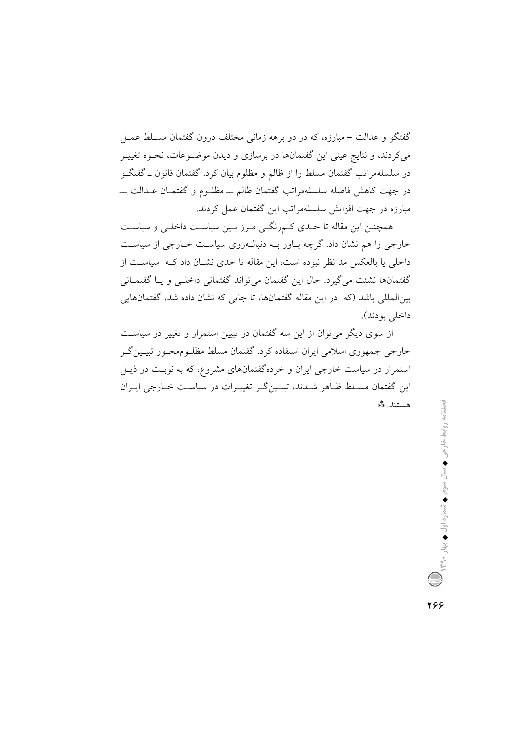گفتگو و عدالت – مبارزه، که در دو برهه زمانی مختلف درون گفتمان مسـلط عمـل میکردند، و نتایج عینی این گفتمانها در برسازی و دیدن موضـوعات، نحـوه تغییـر در سلسلهمراتب گفتمان مسلط را از ظالم و مظلوم بیان کرد. گفتمان قانون ــ گفتگــو در جهت كاهش فاصله سلسلهمراتب گفتمان ظالم ــ مظلـوم و گفتمــان عــدالت ــــ مبارزه در جهت افزایش سلسلهمراتب این گفتمان عمل کردند.

همچنین این مقاله تا حـدی کـم٫رنگـی مـرز بـین سیاسـت داخلـی و سیاسـت خارجی را هم نشان داد. گرچه بـاور بـه دنبالـهروی سیاسـت خـارجی از سیاسـت داخلی یا بالعکس مد نظر نبوده است، این مقاله تا حدی نشــان داد کــه سیاســت از گفتمانها نشئت می گیرد. حال این گفتمان می تواند گفتمانی داخلـی و یـا گفتمــانی بین|لمللی باشد (که ً در این مقاله گفتمانها، تا جایی که نشان داده شد، گفتمانهایی داخلي بودند).

از سوی دیگر میتوان از این سه گفتمان در تبیین استمرار و تغییر در سیاست خارجي جمهوري اسلامي ايران استفاده كرد. گفتمان مسلط مظلـوممحـور تبيـين گـر استمرار در سیاست خارجی ایران و خردهگفتمانهای مشروع، که به نوبت در ذیـل این گفتمان مسـلط ظـاهر شـدند، تبیـینگـر تغییـرات در سیاسـت خـارجی ایـران هستند.\*\*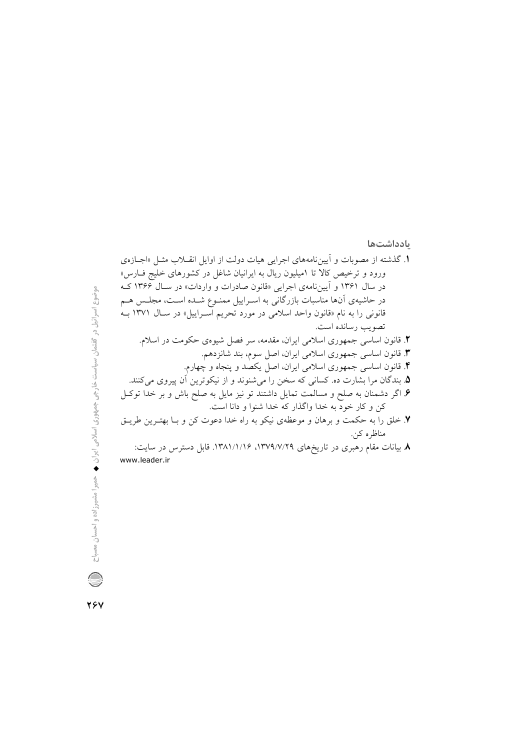## <mark>یادداشتها</mark>

**TEV**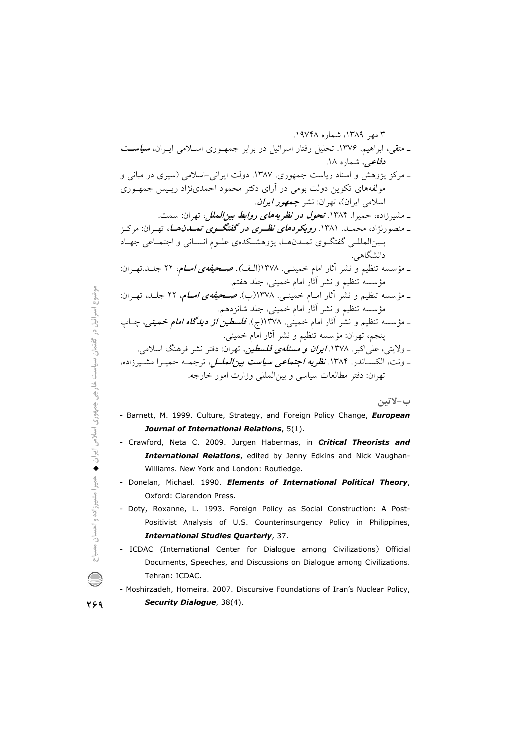ب–لاتين

- Barnett, M. 1999. Culture, Strategy, and Foreign Policy Change, European Journal of International Relations, 5(1).
- Crawford, Neta C. 2009. Jurgen Habermas, in Critical Theorists and International Relations, edited by Jenny Edkins and Nick Vaughan-Williams. New York and London: Routledge.
- Donelan, Michael. 1990. Elements of International Political Theory, Oxford: Clarendon Press.
- Doty, Roxanne, L. 1993. Foreign Policy as Social Construction: A Post-Positivist Analysis of U.S. Counterinsurgency Policy in Philippines, **International Studies Quarterly, 37.**
- ICDAC (International Center for Dialogue among Civilizations) Official Documents, Speeches, and Discussions on Dialogue among Civilizations. Tehran: ICDAC.
- Moshirzadeh, Homeira. 2007. Discursive Foundations of Iran's Nuclear Policy, Security Dialogue, 38(4).